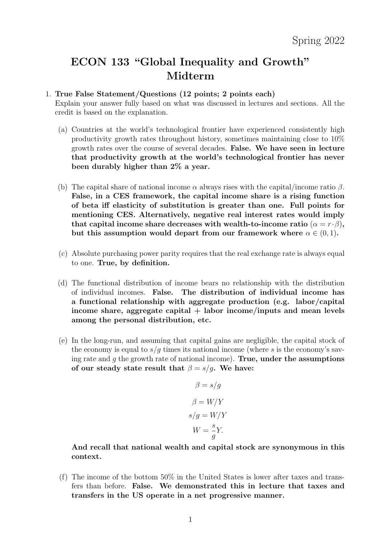# ECON 133 "Global Inequality and Growth" Midterm

#### 1. True False Statement/Questions (12 points; 2 points each)

Explain your answer fully based on what was discussed in lectures and sections. All the credit is based on the explanation.

- (a) Countries at the world's technological frontier have experienced consistently high productivity growth rates throughout history, sometimes maintaining close to 10% growth rates over the course of several decades. False. We have seen in lecture that productivity growth at the world's technological frontier has never been durably higher than 2% a year.
- (b) The capital share of national income  $\alpha$  always rises with the capital/income ratio  $\beta$ . False, in a CES framework, the capital income share is a rising function of beta iff elasticity of substitution is greater than one. Full points for mentioning CES. Alternatively, negative real interest rates would imply that capital income share decreases with wealth-to-income ratio  $(\alpha = r \cdot \beta)$ , but this assumption would depart from our framework where  $\alpha \in (0,1)$ .
- (c) Absolute purchasing power parity requires that the real exchange rate is always equal to one. True, by definition.
- (d) The functional distribution of income bears no relationship with the distribution of individual incomes. False. The distribution of individual income has a functional relationship with aggregate production (e.g. labor/capital income share, aggregate capital  $+$  labor income/inputs and mean levels among the personal distribution, etc.
- (e) In the long-run, and assuming that capital gains are negligible, the capital stock of the economy is equal to  $s/g$  times its national income (where s is the economy's saving rate and  $g$  the growth rate of national income). True, under the assumptions of our steady state result that  $\beta = s/g$ . We have:

$$
\beta = s/g
$$

$$
\beta = W/Y
$$

$$
s/g = W/Y
$$

$$
W = \frac{s}{g}Y.
$$

And recall that national wealth and capital stock are synonymous in this context.

(f) The income of the bottom 50% in the United States is lower after taxes and transfers than before. False. We demonstrated this in lecture that taxes and transfers in the US operate in a net progressive manner.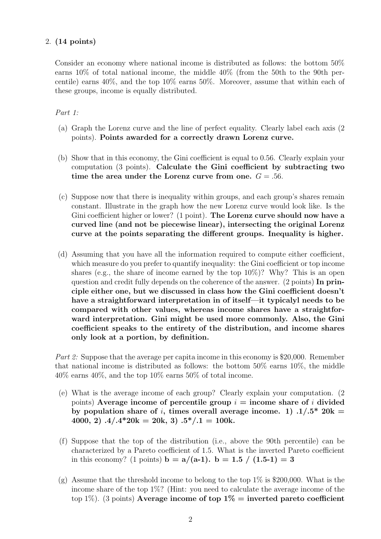## 2. (14 points)

Consider an economy where national income is distributed as follows: the bottom 50% earns 10% of total national income, the middle 40% (from the 50th to the 90th percentile) earns 40%, and the top 10% earns 50%. Moreover, assume that within each of these groups, income is equally distributed.

## Part 1:

- (a) Graph the Lorenz curve and the line of perfect equality. Clearly label each axis (2 points). Points awarded for a correctly drawn Lorenz curve.
- (b) Show that in this economy, the Gini coefficient is equal to 0.56. Clearly explain your computation (3 points). Calculate the Gini coefficient by subtracting two time the area under the Lorenz curve from one.  $G = .56$ .
- (c) Suppose now that there is inequality within groups, and each group's shares remain constant. Illustrate in the graph how the new Lorenz curve would look like. Is the Gini coefficient higher or lower? (1 point). The Lorenz curve should now have a curved line (and not be piecewise linear), intersecting the original Lorenz curve at the points separating the different groups. Inequality is higher.
- (d) Assuming that you have all the information required to compute either coefficient, which measure do you prefer to quantify inequality: the Gini coefficient or top income shares (e.g., the share of income earned by the top 10%)? Why? This is an open question and credit fully depends on the coherence of the answer. (2 points) In principle either one, but we discussed in class how the Gini coefficient doesn't have a straightforward interpretation in of itself—it typicalyl needs to be compared with other values, whereas income shares have a straightforward interpretation. Gini might be used more commonly. Also, the Gini coefficient speaks to the entirety of the distribution, and income shares only look at a portion, by definition.

*Part 2:* Suppose that the average per capita income in this economy is \$20,000. Remember that national income is distributed as follows: the bottom 50% earns 10%, the middle  $40\%$  earns  $40\%$ , and the top  $10\%$  earns  $50\%$  of total income.

- (e) What is the average income of each group? Clearly explain your computation. (2 points) Average income of percentile group  $i =$  income share of i divided by population share of i, times overall average income. 1)  $.1/.5*$  20k = 4000, 2)  $.4/.4*20k = 20k, 3) .5*/.1 = 100k.$
- (f) Suppose that the top of the distribution (i.e., above the 90th percentile) can be characterized by a Pareto coefficient of 1.5. What is the inverted Pareto coefficient in this economy? (1 points) **b** =  $a/(a-1)$ . **b** = 1.5  $/(1.5-1) = 3$
- (g) Assume that the threshold income to belong to the top  $1\%$  is \$200,000. What is the income share of the top 1%? (Hint: you need to calculate the average income of the top 1%). (3 points) Average income of top  $1\%$  = inverted pareto coefficient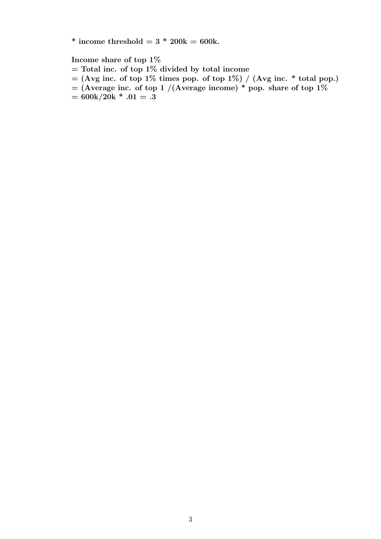\* income threshold =  $3 * 200k = 600k$ .

Income share of top 1%

- $=$  Total inc. of top 1% divided by total income
- $=$  (Avg inc. of top 1% times pop. of top 1%) / (Avg inc. \* total pop.)
- $=$  (Average inc. of top 1 /(Average income) \* pop. share of top 1%
- $= 600k/20k * .01 = .3$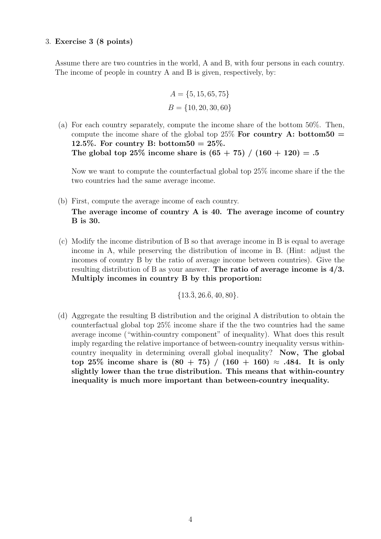#### 3. Exercise 3 (8 points)

Assume there are two countries in the world, A and B, with four persons in each country. The income of people in country A and B is given, respectively, by:

$$
A = \{5, 15, 65, 75\}
$$
  

$$
B = \{10, 20, 30, 60\}
$$

(a) For each country separately, compute the income share of the bottom 50%. Then, compute the income share of the global top 25% For country A: bottom50 = 12.5%. For country B: bottom50 =  $25\%$ . The global top 25\% income share is  $(65 + 75) / (160 + 120) = .5$ 

Now we want to compute the counterfactual global top 25% income share if the the two countries had the same average income.

- (b) First, compute the average income of each country. The average income of country A is 40. The average income of country B is 30.
- (c) Modify the income distribution of B so that average income in B is equal to average income in A, while preserving the distribution of income in B. (Hint: adjust the incomes of country B by the ratio of average income between countries). Give the resulting distribution of B as your answer. The ratio of average income is 4/3. Multiply incomes in country B by this proportion:

$$
{13.\overline{3}, 26.\overline{6}, 40, 80}.
$$

(d) Aggregate the resulting B distribution and the original A distribution to obtain the counterfactual global top 25% income share if the the two countries had the same average income ("within-country component" of inequality). What does this result imply regarding the relative importance of between-country inequality versus withincountry inequality in determining overall global inequality? Now, The global top 25% income share is  $(80 + 75) / (160 + 160) \approx .484$ . It is only slightly lower than the true distribution. This means that within-country inequality is much more important than between-country inequality.